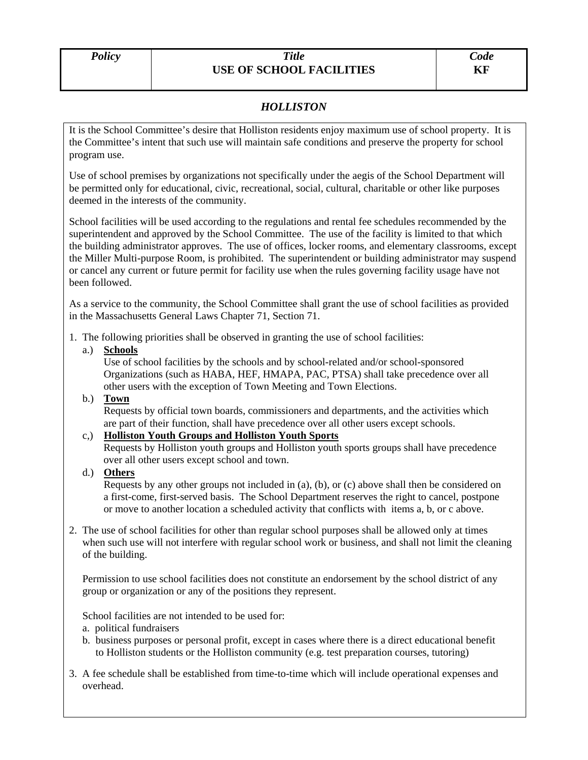# *HOLLISTON*

It is the School Committee's desire that Holliston residents enjoy maximum use of school property. It is the Committee's intent that such use will maintain safe conditions and preserve the property for school program use.

Use of school premises by organizations not specifically under the aegis of the School Department will be permitted only for educational, civic, recreational, social, cultural, charitable or other like purposes deemed in the interests of the community.

School facilities will be used according to the regulations and rental fee schedules recommended by the superintendent and approved by the School Committee. The use of the facility is limited to that which the building administrator approves. The use of offices, locker rooms, and elementary classrooms, except the Miller Multi-purpose Room, is prohibited. The superintendent or building administrator may suspend or cancel any current or future permit for facility use when the rules governing facility usage have not been followed.

As a service to the community, the School Committee shall grant the use of school facilities as provided in the Massachusetts General Laws Chapter 71, Section 71.

1. The following priorities shall be observed in granting the use of school facilities:

### a.) **Schools**

 Use of school facilities by the schools and by school-related and/or school-sponsored Organizations (such as HABA, HEF, HMAPA, PAC, PTSA) shall take precedence over all other users with the exception of Town Meeting and Town Elections.

### b.) **Town**

 Requests by official town boards, commissioners and departments, and the activities which are part of their function, shall have precedence over all other users except schools.

### c,) **Holliston Youth Groups and Holliston Youth Sports**

Requests by Holliston youth groups and Holliston youth sports groups shall have precedence over all other users except school and town.

## d.) **Others**

 Requests by any other groups not included in (a), (b), or (c) above shall then be considered on a first-come, first-served basis. The School Department reserves the right to cancel, postpone or move to another location a scheduled activity that conflicts with items a, b, or c above.

2. The use of school facilities for other than regular school purposes shall be allowed only at times when such use will not interfere with regular school work or business, and shall not limit the cleaning of the building.

 Permission to use school facilities does not constitute an endorsement by the school district of any group or organization or any of the positions they represent.

School facilities are not intended to be used for:

- a. political fundraisers
- b. business purposes or personal profit, except in cases where there is a direct educational benefit to Holliston students or the Holliston community (e.g. test preparation courses, tutoring)
- 3. A fee schedule shall be established from time-to-time which will include operational expenses and overhead.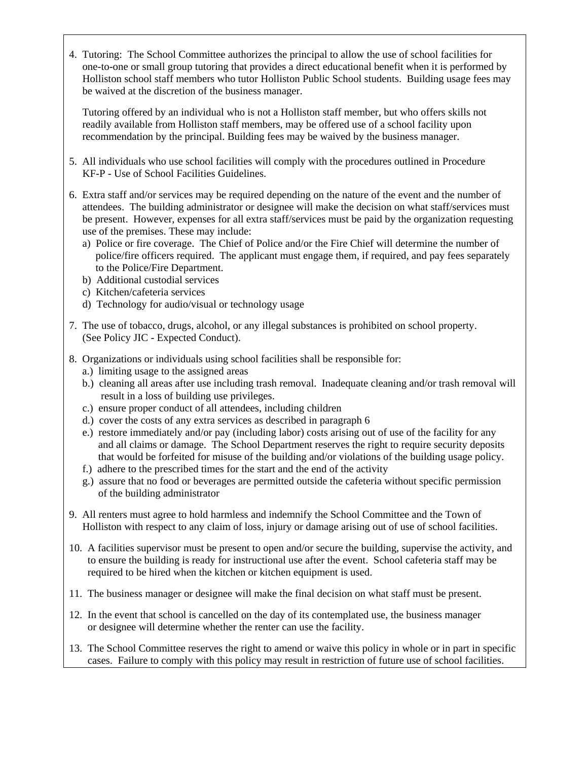4. Tutoring: The School Committee authorizes the principal to allow the use of school facilities for one-to-one or small group tutoring that provides a direct educational benefit when it is performed by Holliston school staff members who tutor Holliston Public School students. Building usage fees may be waived at the discretion of the business manager.

 Tutoring offered by an individual who is not a Holliston staff member, but who offers skills not readily available from Holliston staff members, may be offered use of a school facility upon recommendation by the principal. Building fees may be waived by the business manager.

- 5. All individuals who use school facilities will comply with the procedures outlined in Procedure KF-P - Use of School Facilities Guidelines.
- 6. Extra staff and/or services may be required depending on the nature of the event and the number of attendees. The building administrator or designee will make the decision on what staff/services must be present. However, expenses for all extra staff/services must be paid by the organization requesting use of the premises. These may include:
	- a) Police or fire coverage. The Chief of Police and/or the Fire Chief will determine the number of police/fire officers required. The applicant must engage them, if required, and pay fees separately to the Police/Fire Department.
	- b) Additional custodial services
	- c) Kitchen/cafeteria services
	- d) Technology for audio/visual or technology usage
- 7. The use of tobacco, drugs, alcohol, or any illegal substances is prohibited on school property. (See Policy JIC - Expected Conduct).
- 8. Organizations or individuals using school facilities shall be responsible for:
	- a.) limiting usage to the assigned areas
	- b.) cleaning all areas after use including trash removal. Inadequate cleaning and/or trash removal will result in a loss of building use privileges.
	- c.) ensure proper conduct of all attendees, including children
	- d.) cover the costs of any extra services as described in paragraph 6
	- e.) restore immediately and/or pay (including labor) costs arising out of use of the facility for any and all claims or damage. The School Department reserves the right to require security deposits that would be forfeited for misuse of the building and/or violations of the building usage policy.
	- f.) adhere to the prescribed times for the start and the end of the activity
	- g.) assure that no food or beverages are permitted outside the cafeteria without specific permission of the building administrator
- 9. All renters must agree to hold harmless and indemnify the School Committee and the Town of Holliston with respect to any claim of loss, injury or damage arising out of use of school facilities.
- 10. A facilities supervisor must be present to open and/or secure the building, supervise the activity, and to ensure the building is ready for instructional use after the event. School cafeteria staff may be required to be hired when the kitchen or kitchen equipment is used.
- 11. The business manager or designee will make the final decision on what staff must be present.
- 12. In the event that school is cancelled on the day of its contemplated use, the business manager or designee will determine whether the renter can use the facility.
- 13. The School Committee reserves the right to amend or waive this policy in whole or in part in specific cases. Failure to comply with this policy may result in restriction of future use of school facilities.